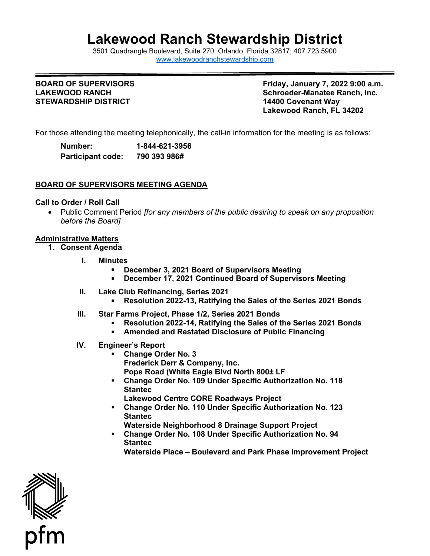# **Lakewood Ranch Stewardship District**

3501 Quadrangle B[oulevard, Suite 270, Orlando, Florida 32](http://www.lakewoodranchstewardship.com/)817; 407.723.5900 [www.lakewoodranchstewardship.com](http://www.lakewoodranchstewardship.com/) 

#### **BOARD OF SUPERVISORS LAKEWOOD RANCH STEWARDSHIP DISTRICT**

**BOARD OF SUPERVISORS Friday, January 7, 2022 9:00 a.m. Schroeder-Manatee Ranch, Inc. 14400 Covenant Wav Lakewood Ranch, FL 34202** 

For those attending the meeting telephonically, the call-in information for the meeting is as follows:

| Number:                  | 1-844-621-3956 |
|--------------------------|----------------|
| <b>Participant code:</b> | 790 393 986#   |

## **BOARD OF SUPERVISORS MEETING AGENDA**

#### **Call to Order / Roll Call**

• Public Comment Period *[for any members of the public desiring to speak on any proposition before the Board]* 

### **Administrative Matters**

- **1. Consent Agenda** 
	- **I. Minutes** 
		- **December 3, 2021 Board of Supervisors Meeting**
		- **December 17, 2021 Continued Board of Supervisors Meeting**
	- **II. Lake Club Refinancing, Series 2021**
	- **Resolution 2022-13, Ratifying the Sales of the Series 2021 Bonds III. Star Farms Project, Phase 1/2, Series 2021 Bonds**
	- - **Resolution 2022-14, Ratifying the Sales of the Series 2021 Bonds**
		- **Amended and Restated Disclosure of Public Financing**
	- **IV. Engineer's Report** 
		- **Change Order No. 3 Frederick Derr & Company, Inc. Pope Road (White Eagle Blvd North 800± LF**
		- **Change Order No. 109 Under Specific Authorization No. 118 Stantec** 
			- **Lakewood Centre CORE Roadways Project**
		- **Change Order No. 110 Under Specific Authorization No. 123 Stantec** 
			- **Waterside Neighborhood 8 Drainage Support Project**
		- **Change Order No. 108 Under Specific Authorization No. 94 Stantec** 
			- **Waterside Place Boulevard and Park Phase Improvement Project**